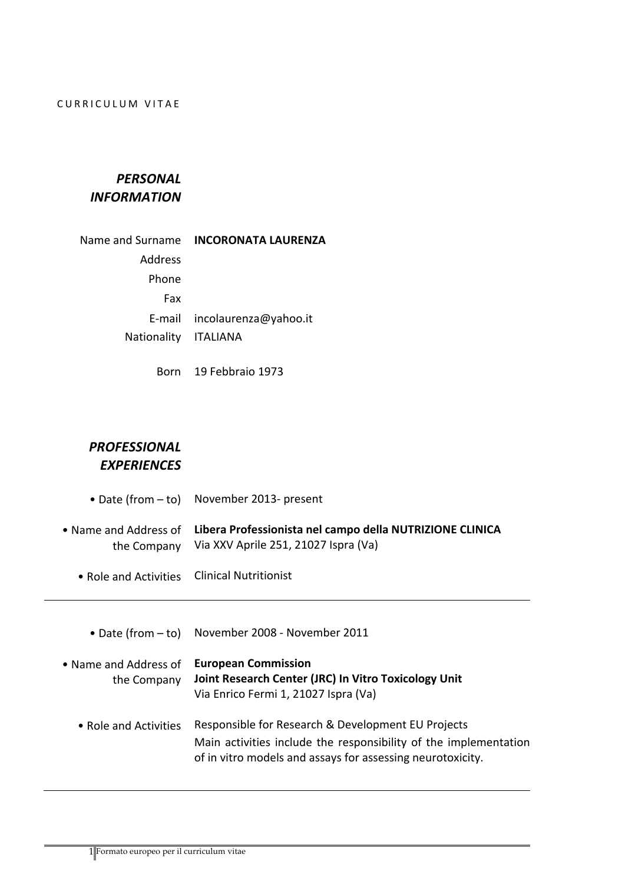## CURRICULUM VITAE

## *PERSONAL INFORMATION*

|                      | Name and Surname INCORONATA LAURENZA |
|----------------------|--------------------------------------|
| <b>Address</b>       |                                      |
| Phone                |                                      |
| Fax                  |                                      |
|                      | E-mail incolaurenza@yahoo.it         |
| Nationality ITALIANA |                                      |
|                      |                                      |

Born 19 Febbraio 1973

## *PROFESSIONAL EXPERIENCES*

| • Date (from $-$ to)                 | November 2013- present                                                                                                                                                               |
|--------------------------------------|--------------------------------------------------------------------------------------------------------------------------------------------------------------------------------------|
| • Name and Address of<br>the Company | Libera Professionista nel campo della NUTRIZIONE CLINICA<br>Via XXV Aprile 251, 21027 Ispra (Va)                                                                                     |
| • Role and Activities                | <b>Clinical Nutritionist</b>                                                                                                                                                         |
|                                      |                                                                                                                                                                                      |
| • Date (from $-$ to)                 | November 2008 - November 2011                                                                                                                                                        |
| • Name and Address of<br>the Company | <b>European Commission</b><br>Joint Research Center (JRC) In Vitro Toxicology Unit<br>Via Enrico Fermi 1, 21027 Ispra (Va)                                                           |
| • Role and Activities                | Responsible for Research & Development EU Projects<br>Main activities include the responsibility of the implementation<br>of in vitro models and assays for assessing neurotoxicity. |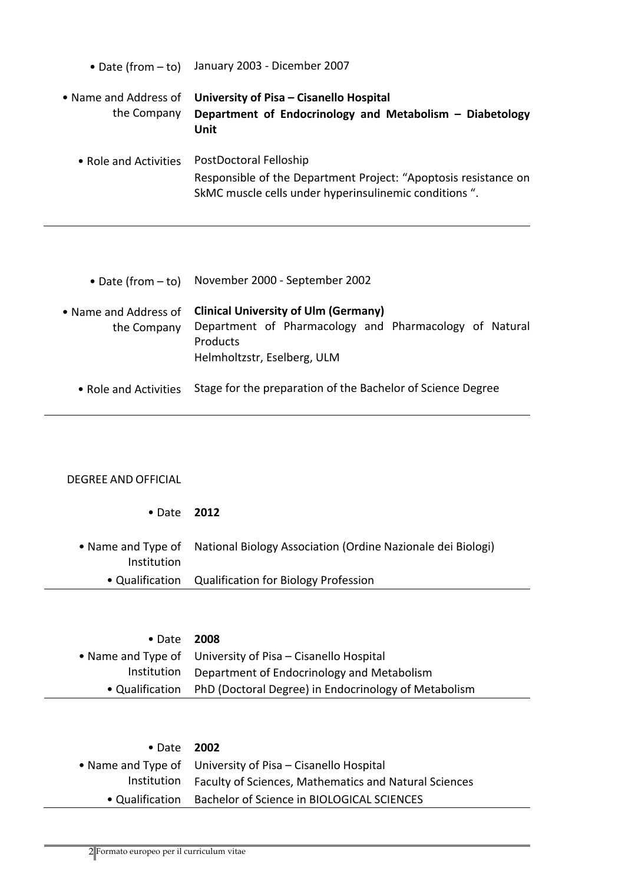|                                      | • Date (from - to) January 2003 - Dicember 2007                                                                                                     |
|--------------------------------------|-----------------------------------------------------------------------------------------------------------------------------------------------------|
| • Name and Address of<br>the Company | University of Pisa - Cisanello Hospital<br>Department of Endocrinology and Metabolism - Diabetology<br>Unit                                         |
| • Role and Activities                | PostDoctoral Felloship<br>Responsible of the Department Project: "Apoptosis resistance on<br>SkMC muscle cells under hyperinsulinemic conditions ". |

- Date (from to) November 2000 September 2002
- Name and Address of **Clinical University of Ulm (Germany)** the Company Department of Pharmacology and Pharmacology of Natural Products Helmholtzstr, Eselberg, ULM
	- Role and Activities Stage for the preparation of the Bachelor of Science Degree

## DEGREE AND OFFICIAL

- Date **2012**
- Name and Type of Institution National Biology Association (Ordine Nazionale dei Biologi) • Qualification Qualification for Biology Profession

| • Date 2008 |                                                                      |
|-------------|----------------------------------------------------------------------|
|             | • Name and Type of University of Pisa – Cisanello Hospital           |
|             | Institution Department of Endocrinology and Metabolism               |
|             | • Qualification PhD (Doctoral Degree) in Endocrinology of Metabolism |

| $\bullet$ Date 2002 |                                                                   |
|---------------------|-------------------------------------------------------------------|
|                     | • Name and Type of University of Pisa – Cisanello Hospital        |
|                     | Institution Faculty of Sciences, Mathematics and Natural Sciences |
|                     | • Qualification Bachelor of Science in BIOLOGICAL SCIENCES        |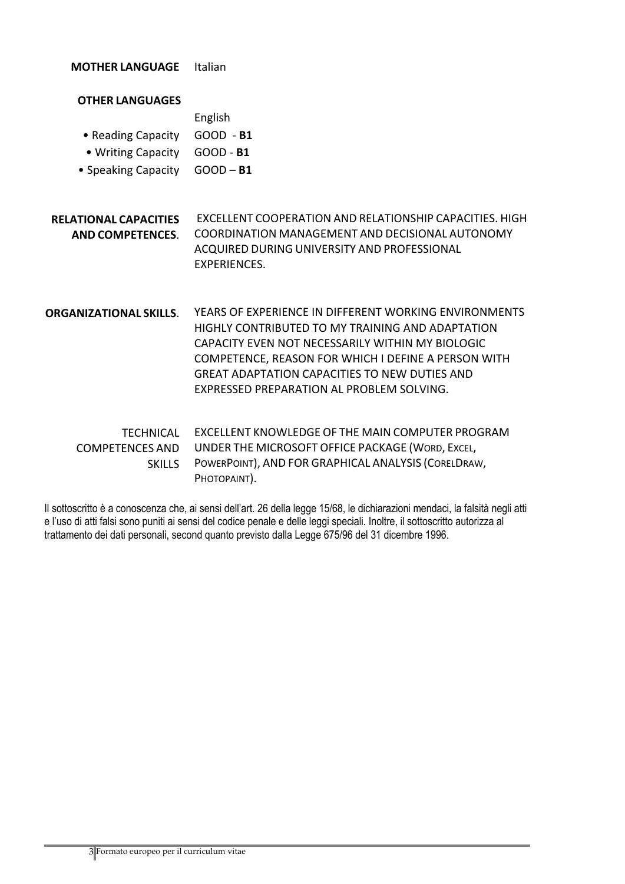**MOTHER LANGUAGE** Italian

| <b>OTHER LANGUAGES</b>                                  |                                                                                                                                                                                                                                                                                                                           |
|---------------------------------------------------------|---------------------------------------------------------------------------------------------------------------------------------------------------------------------------------------------------------------------------------------------------------------------------------------------------------------------------|
|                                                         | English                                                                                                                                                                                                                                                                                                                   |
| • Reading Capacity                                      | $GOOD - B1$                                                                                                                                                                                                                                                                                                               |
| • Writing Capacity                                      | GOOD - B1                                                                                                                                                                                                                                                                                                                 |
| • Speaking Capacity                                     | $GOOD - B1$                                                                                                                                                                                                                                                                                                               |
|                                                         |                                                                                                                                                                                                                                                                                                                           |
| <b>RELATIONAL CAPACITIES</b><br><b>AND COMPETENCES.</b> | EXCELLENT COOPERATION AND RELATIONSHIP CAPACITIES. HIGH<br>COORDINATION MANAGEMENT AND DECISIONAL AUTONOMY<br>ACQUIRED DURING UNIVERSITY AND PROFESSIONAL<br>EXPERIENCES.                                                                                                                                                 |
| <b>ORGANIZATIONAL SKILLS.</b>                           | YEARS OF EXPERIENCE IN DIFFERENT WORKING ENVIRONMENTS<br>HIGHLY CONTRIBUTED TO MY TRAINING AND ADAPTATION<br>CAPACITY EVEN NOT NECESSARILY WITHIN MY BIOLOGIC<br>COMPETENCE, REASON FOR WHICH I DEFINE A PERSON WITH<br><b>GREAT ADAPTATION CAPACITIES TO NEW DUTIES AND</b><br>EXPRESSED PREPARATION AL PROBLEM SOLVING. |
| <b>TECHNICAL</b><br>COMPETENCES AND<br><b>SKILLS</b>    | EXCELLENT KNOWLEDGE OF THE MAIN COMPUTER PROGRAM<br>UNDER THE MICROSOFT OFFICE PACKAGE (WORD, EXCEL,<br>POWERPOINT), AND FOR GRAPHICAL ANALYSIS (CORELDRAW,<br>PHOTOPAINT).                                                                                                                                               |

Il sottoscritto è a conoscenza che, ai sensi dell'art. 26 della legge 15/68, le dichiarazioni mendaci, la falsità negli atti e l'uso di atti falsi sono puniti ai sensi del codice penale e delle leggi speciali. Inoltre, il sottoscritto autorizza al trattamento dei dati personali, second quanto previsto dalla Legge 675/96 del 31 dicembre 1996.